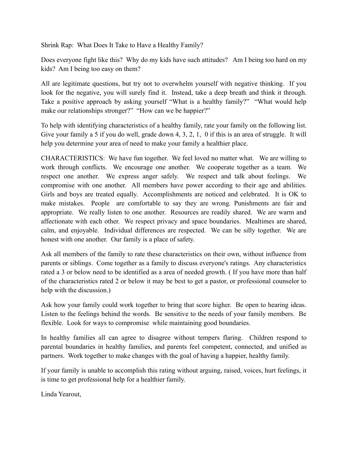Shrink Rap: What Does It Take to Have a Healthy Family?

Does everyone fight like this? Why do my kids have such attitudes? Am I being too hard on my kids? Am I being too easy on them?

All are legitimate questions, but try not to overwhelm yourself with negative thinking. If you look for the negative, you will surely find it. Instead, take a deep breath and think it through. Take a positive approach by asking yourself "What is a healthy family?" "What would help make our relationships stronger?" "How can we be happier?"

To help with identifying characteristics of a healthy family, rate your family on the following list. Give your family a 5 if you do well, grade down 4, 3, 2, 1, 0 if this is an area of struggle. It will help you determine your area of need to make your family a healthier place.

CHARACTERISTICS: We have fun together. We feel loved no matter what. We are willing to work through conflicts. We encourage one another. We cooperate together as a team. We respect one another. We express anger safely. We respect and talk about feelings. We compromise with one another. All members have power according to their age and abilities. Girls and boys are treated equally. Accomplishments are noticed and celebrated. It is OK to make mistakes. People are comfortable to say they are wrong. Punishments are fair and appropriate. We really listen to one another. Resources are readily shared. We are warm and affectionate with each other. We respect privacy and space boundaries. Mealtimes are shared, calm, and enjoyable. Individual differences are respected. We can be silly together. We are honest with one another. Our family is a place of safety.

Ask all members of the family to rate these characteristics on their own, without influence from parents or siblings. Come together as a family to discuss everyone's ratings. Any characteristics rated a 3 or below need to be identified as a area of needed growth. ( If you have more than half of the characteristics rated 2 or below it may be best to get a pastor, or professional counselor to help with the discussion.)

Ask how your family could work together to bring that score higher. Be open to hearing ideas. Listen to the feelings behind the words. Be sensitive to the needs of your family members. Be flexible. Look for ways to compromise while maintaining good boundaries.

In healthy families all can agree to disagree without tempers flaring. Children respond to parental boundaries in healthy families, and parents feel competent, connected, and unified as partners. Work together to make changes with the goal of having a happier, healthy family.

If your family is unable to accomplish this rating without arguing, raised, voices, hurt feelings, it is time to get professional help for a healthier family.

Linda Yearout,